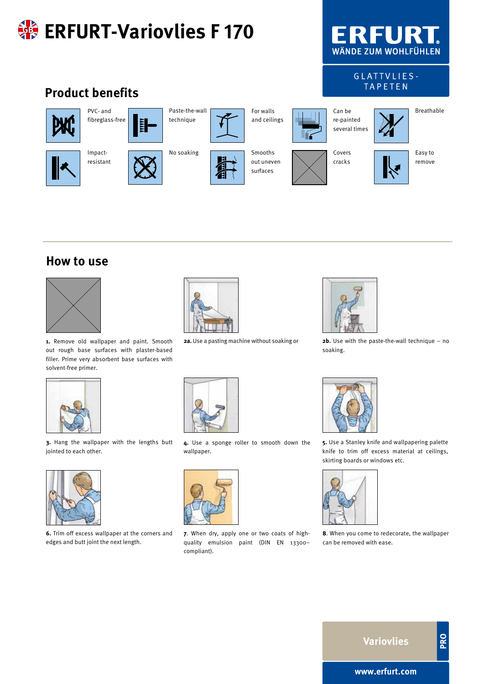

## **How to use**



**1.** Remove old wallpaper and paint. Smooth out rough base surfaces with plaster-based filler. Prime very absorbent base surfaces with solvent-free primer.



**2a.** Use a pasting machine without soaking or



**2b.** Use with the paste-the-wall technique – no soaking.







**6.** Trim off excess wallpaper at the corners and edges and butt joint the next length.

**4.** Use a sponge roller to smooth down the wallpaper.



**7**. When dry, apply one or two coats of highquality emulsion paint (DIN EN 13300– compliant).



**5.** Use a Stanley knife and wallpapering palette knife to trim off excess material at ceilings, skirting boards or windows etc.



**8**. When you come to redecorate, the wallpaper can be removed with ease.